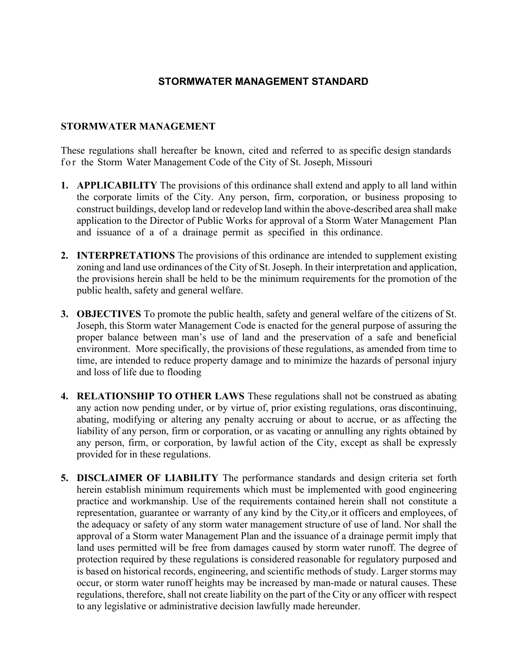## **STORMWATER MANAGEMENT STANDARD**

## **STORMWATER MANAGEMENT**

These regulations shall hereafter be known, cited and referred to as specific design standards for the Storm Water Management Code of the City of St. Joseph, Missouri

- **1. APPLICABILITY** The provisions of this ordinance shall extend and apply to all land within the corporate limits of the City. Any person, firm, corporation, or business proposing to construct buildings, develop land or redevelop land within the above-described area shall make application to the Director of Public Works for approval of a Storm Water Management Plan and issuance of a of a drainage permit as specified in this ordinance.
- **2. INTERPRETATIONS** The provisions of this ordinance are intended to supplement existing zoning and land use ordinances of the City of St. Joseph. In their interpretation and application, the provisions herein shall be held to be the minimum requirements for the promotion of the public health, safety and general welfare.
- **3. OBJECTIVES** To promote the public health, safety and general welfare of the citizens of St. Joseph, this Storm water Management Code is enacted for the general purpose of assuring the proper balance between man's use of land and the preservation of a safe and beneficial environment. More specifically, the provisions of these regulations, as amended from time to time, are intended to reduce property damage and to minimize the hazards of personal injury and loss of life due to flooding
- **4. RELATIONSHIP TO OTHER LAWS** These regulations shall not be construed as abating any action now pending under, or by virtue of, prior existing regulations, oras discontinuing, abating, modifying or altering any penalty accruing or about to accrue, or as affecting the liability of any person, firm or corporation, or as vacating or annulling any rights obtained by any person, firm, or corporation, by lawful action of the City, except as shall be expressly provided for in these regulations.
- **5. DISCLAIMER OF LIABILITY** The performance standards and design criteria set forth herein establish minimum requirements which must be implemented with good engineering practice and workmanship. Use of the requirements contained herein shall not constitute a representation, guarantee or warranty of any kind by the City,or it officers and employees, of the adequacy or safety of any storm water management structure of use of land. Nor shall the approval of a Storm water Management Plan and the issuance of a drainage permit imply that land uses permitted will be free from damages caused by storm water runoff. The degree of protection required by these regulations is considered reasonable for regulatory purposed and is based on historical records, engineering, and scientific methods of study. Larger storms may occur, or storm water runoff heights may be increased by man-made or natural causes. These regulations, therefore, shall not create liability on the part of the City or any officer with respect to any legislative or administrative decision lawfully made hereunder.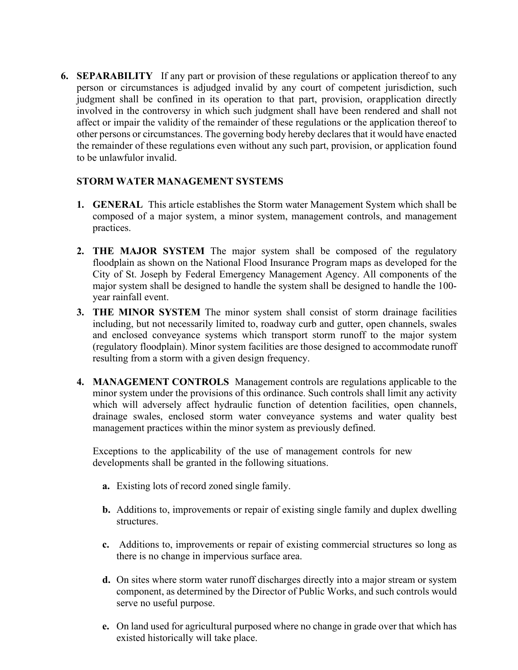**6. SEPARABILITY** If any part or provision of these regulations or application thereof to any person or circumstances is adjudged invalid by any court of competent jurisdiction, such judgment shall be confined in its operation to that part, provision, orapplication directly involved in the controversy in which such judgment shall have been rendered and shall not affect or impair the validity of the remainder of these regulations or the application thereof to other persons or circumstances. The governing body hereby declares that it would have enacted the remainder of these regulations even without any such part, provision, or application found to be unlawfulor invalid.

## **STORM WATER MANAGEMENT SYSTEMS**

- **1. GENERAL** This article establishes the Storm water Management System which shall be composed of a major system, a minor system, management controls, and management practices.
- **2. THE MAJOR SYSTEM** The major system shall be composed of the regulatory floodplain as shown on the National Flood Insurance Program maps as developed for the City of St. Joseph by Federal Emergency Management Agency. All components of the major system shall be designed to handle the system shall be designed to handle the 100 year rainfall event.
- **3. THE MINOR SYSTEM** The minor system shall consist of storm drainage facilities including, but not necessarily limited to, roadway curb and gutter, open channels, swales and enclosed conveyance systems which transport storm runoff to the major system (regulatory floodplain). Minor system facilities are those designed to accommodate runoff resulting from a storm with a given design frequency.
- **4. MANAGEMENT CONTROLS** Management controls are regulations applicable to the minor system under the provisions of this ordinance. Such controls shall limit any activity which will adversely affect hydraulic function of detention facilities, open channels, drainage swales, enclosed storm water conveyance systems and water quality best management practices within the minor system as previously defined.

Exceptions to the applicability of the use of management controls for new developments shall be granted in the following situations.

- **a.** Existing lots of record zoned single family.
- **b.** Additions to, improvements or repair of existing single family and duplex dwelling structures.
- **c.** Additions to, improvements or repair of existing commercial structures so long as there is no change in impervious surface area.
- **d.** On sites where storm water runoff discharges directly into a major stream or system component, as determined by the Director of Public Works, and such controls would serve no useful purpose.
- **e.** On land used for agricultural purposed where no change in grade over that which has existed historically will take place.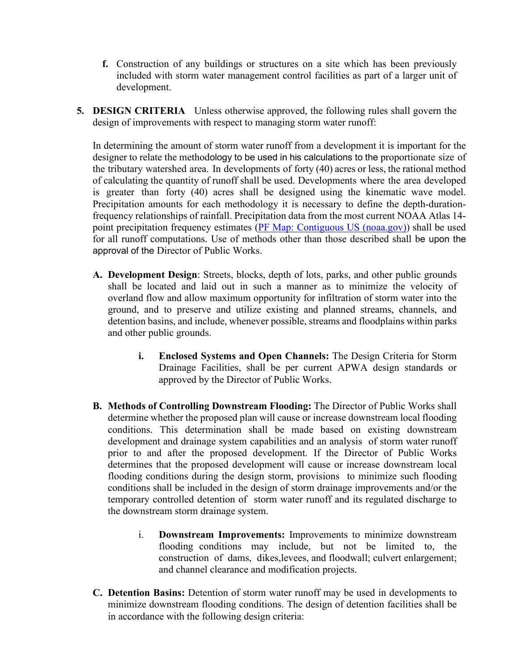- **f.** Construction of any buildings or structures on a site which has been previously included with storm water management control facilities as part of a larger unit of development.
- **5. DESIGN CRITERIA** Unless otherwise approved, the following rules shall govern the design of improvements with respect to managing storm water runoff:

In determining the amount of storm water runoff from a development it is important for the designer to relate the methodology to be used in his calculations to the proportionate size of the tributary watershed area. In developments of forty (40) acres or less, the rational method of calculating the quantity of runoff shall be used. Developments where the area developed is greater than forty (40) acres shall be designed using the kinematic wave model. Precipitation amounts for each methodology it is necessary to define the depth-durationfrequency relationships of rainfall. Precipitation data from the most current NOAA Atlas 14- point precipitation frequency estimates [\(PF Map: Contiguous US \(noaa.gov\)\)](https://hdsc.nws.noaa.gov/hdsc/pfds/pfds_map_cont.html?bkmrk=mo) shall be used for all runoff computations. Use of methods other than those described shall be upon the approval of the Director of Public Works.

- **A. Development Design**: Streets, blocks, depth of lots, parks, and other public grounds shall be located and laid out in such a manner as to minimize the velocity of overland flow and allow maximum opportunity for infiltration of storm water into the ground, and to preserve and utilize existing and planned streams, channels, and detention basins, and include, whenever possible, streams and floodplains within parks and other public grounds.
	- **i. Enclosed Systems and Open Channels:** The Design Criteria for Storm Drainage Facilities, shall be per current APWA design standards or approved by the Director of Public Works.
- **B. Methods of Controlling Downstream Flooding:** The Director of Public Works shall determine whether the proposed plan will cause or increase downstream local flooding conditions. This determination shall be made based on existing downstream development and drainage system capabilities and an analysis of storm water runoff prior to and after the proposed development. If the Director of Public Works determines that the proposed development will cause or increase downstream local flooding conditions during the design storm, provisions to minimize such flooding conditions shall be included in the design of storm drainage improvements and/or the temporary controlled detention of storm water runoff and its regulated discharge to the downstream storm drainage system.
	- i. **Downstream Improvements:** Improvements to minimize downstream flooding conditions may include, but not be limited to, the construction of dams, dikes,levees, and floodwall; culvert enlargement; and channel clearance and modification projects.
- **C. Detention Basins:** Detention of storm water runoff may be used in developments to minimize downstream flooding conditions. The design of detention facilities shall be in accordance with the following design criteria: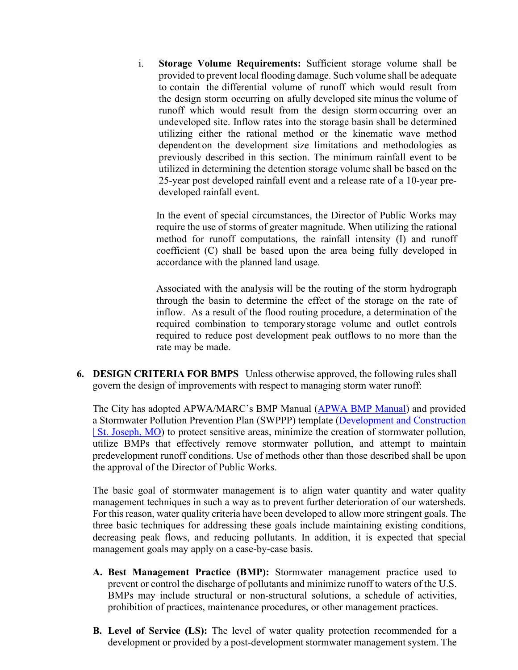i. **Storage Volume Requirements:** Sufficient storage volume shall be provided to prevent local flooding damage. Such volume shall be adequate to contain the differential volume of runoff which would result from the design storm occurring on afully developed site minus the volume of runoff which would result from the design storm occurring over an undeveloped site. Inflow rates into the storage basin shall be determined utilizing either the rational method or the kinematic wave method dependent on the development size limitations and methodologies as previously described in this section. The minimum rainfall event to be utilized in determining the detention storage volume shall be based on the 25-year post developed rainfall event and a release rate of a 10-year predeveloped rainfall event.

In the event of special circumstances, the Director of Public Works may require the use of storms of greater magnitude. When utilizing the rational method for runoff computations, the rainfall intensity (I) and runoff coefficient (C) shall be based upon the area being fully developed in accordance with the planned land usage.

Associated with the analysis will be the routing of the storm hydrograph through the basin to determine the effect of the storage on the rate of inflow. As a result of the flood routing procedure, a determination of the required combination to temporarystorage volume and outlet controls required to reduce post development peak outflows to no more than the rate may be made.

**6. DESIGN CRITERIA FOR BMPS** Unless otherwise approved, the following rules shall govern the design of improvements with respect to managing storm water runoff:

The City has adopted APWA/MARC's BMP Manual [\(APWA BMP Manual\)](http://kcmetro.apwa.net/content/chapters/kcmetro.apwa.net/file/Specifications/APWA_BMP_ManualAUG09.pdf) and provided a Stormwater Pollution Prevention Plan (SWPPP) template [\(Development and Construction](https://www.stjosephmo.gov/952/Development-and-Construction)  [| St. Joseph, MO\)](https://www.stjosephmo.gov/952/Development-and-Construction) to protect sensitive areas, minimize the creation of stormwater pollution, utilize BMPs that effectively remove stormwater pollution, and attempt to maintain predevelopment runoff conditions. Use of methods other than those described shall be upon the approval of the Director of Public Works.

The basic goal of stormwater management is to align water quantity and water quality management techniques in such a way as to prevent further deterioration of our watersheds. For this reason, water quality criteria have been developed to allow more stringent goals. The three basic techniques for addressing these goals include maintaining existing conditions, decreasing peak flows, and reducing pollutants. In addition, it is expected that special management goals may apply on a case-by-case basis.

- **A. Best Management Practice (BMP):** Stormwater management practice used to prevent or control the discharge of pollutants and minimize runoff to waters of the U.S. BMPs may include structural or non-structural solutions, a schedule of activities, prohibition of practices, maintenance procedures, or other management practices.
- **B. Level of Service (LS):** The level of water quality protection recommended for a development or provided by a post-development stormwater management system. The